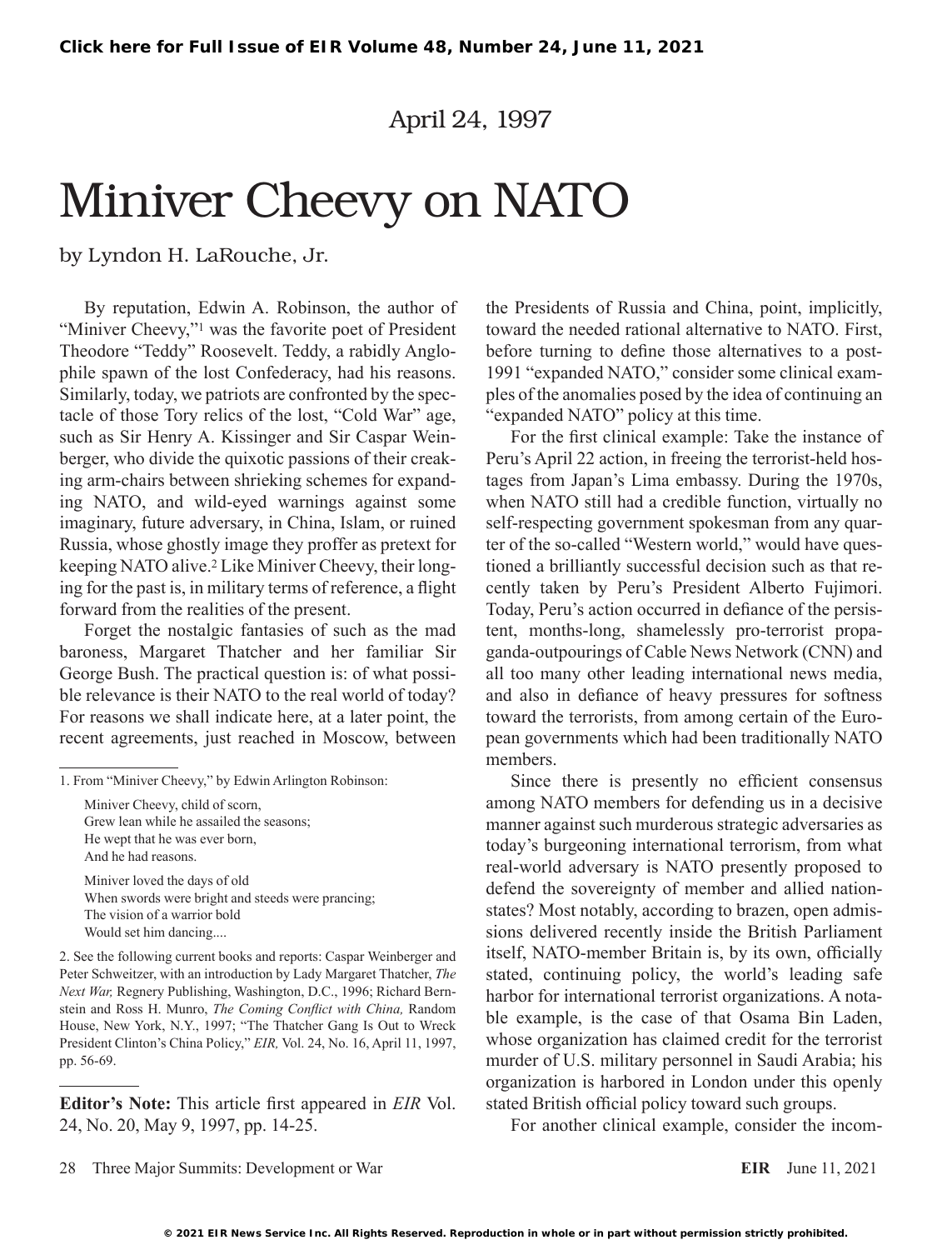April 24, 1997

# Miniver Cheevy on NATO

by Lyndon H. LaRouche, Jr.

By reputation, Edwin A. Robinson, the author of "Miniver Cheevy,"<sup>1</sup> was the favorite poet of President Theodore "Teddy" Roosevelt. Teddy, a rabidly Anglophile spawn of the lost Confederacy, had his reasons. Similarly, today, we patriots are confronted by the spectacle of those Tory relics of the lost, "Cold War" age, such as Sir Henry A. Kissinger and Sir Caspar Weinberger, who divide the quixotic passions of their creaking arm-chairs between shrieking schemes for expanding NATO, and wild-eyed warnings against some imaginary, future adversary, in China, Islam, or ruined Russia, whose ghostly image they proffer as pretext for keeping NATO alive.2 Like Miniver Cheevy, their longing for the past is, in military terms of reference, a flight forward from the realities of the present.

Forget the nostalgic fantasies of such as the mad baroness, Margaret Thatcher and her familiar Sir George Bush. The practical question is: of what possible relevance is their NATO to the real world of today? For reasons we shall indicate here, at a later point, the recent agreements, just reached in Moscow, between

Miniver Cheevy, child of scorn, Grew lean while he assailed the seasons; He wept that he was ever born, And he had reasons.

Miniver loved the days of old When swords were bright and steeds were prancing; The vision of a warrior bold Would set him dancing....

2. See the following current books and reports: Caspar Weinberger and Peter Schweitzer, with an introduction by Lady Margaret Thatcher, *The Next War,* Regnery Publishing, Washington, D.C., 1996; Richard Bernstein and Ross H. Munro, *The Coming Conflict with China,* Random House, New York, N.Y., 1997; "The Thatcher Gang Is Out to Wreck President Clinton's China Policy," *EIR,* Vol. 24, No. 16, April 11, 1997, pp. 56-69.

**Editor's Note:** This article first appeared in *EIR* Vol. 24, No. 20, May 9, 1997, pp. 14-25.

the Presidents of Russia and China, point, implicitly, toward the needed rational alternative to NATO. First, before turning to define those alternatives to a post-1991 "expanded NATO," consider some clinical examples of the anomalies posed by the idea of continuing an "expanded NATO" policy at this time.

For the first clinical example: Take the instance of Peru's April 22 action, in freeing the terrorist-held hostages from Japan's Lima embassy. During the 1970s, when NATO still had a credible function, virtually no self-respecting government spokesman from any quarter of the so-called "Western world," would have questioned a brilliantly successful decision such as that recently taken by Peru's President Alberto Fujimori. Today, Peru's action occurred in defiance of the persistent, months-long, shamelessly pro-terrorist propaganda-outpourings of Cable News Network (CNN) and all too many other leading international news media, and also in defiance of heavy pressures for softness toward the terrorists, from among certain of the European governments which had been traditionally NATO members.

Since there is presently no efficient consensus among NATO members for defending us in a decisive manner against such murderous strategic adversaries as today's burgeoning international terrorism, from what real-world adversary is NATO presently proposed to defend the sovereignty of member and allied nationstates? Most notably, according to brazen, open admissions delivered recently inside the British Parliament itself, NATO-member Britain is, by its own, officially stated, continuing policy, the world's leading safe harbor for international terrorist organizations. A notable example, is the case of that Osama Bin Laden, whose organization has claimed credit for the terrorist murder of U.S. military personnel in Saudi Arabia; his organization is harbored in London under this openly stated British official policy toward such groups.

For another clinical example, consider the incom-

28 Three Major Summits: Development or War **EIR** June 11, 2021

<sup>1.</sup> From "Miniver Cheevy," by Edwin Arlington Robinson: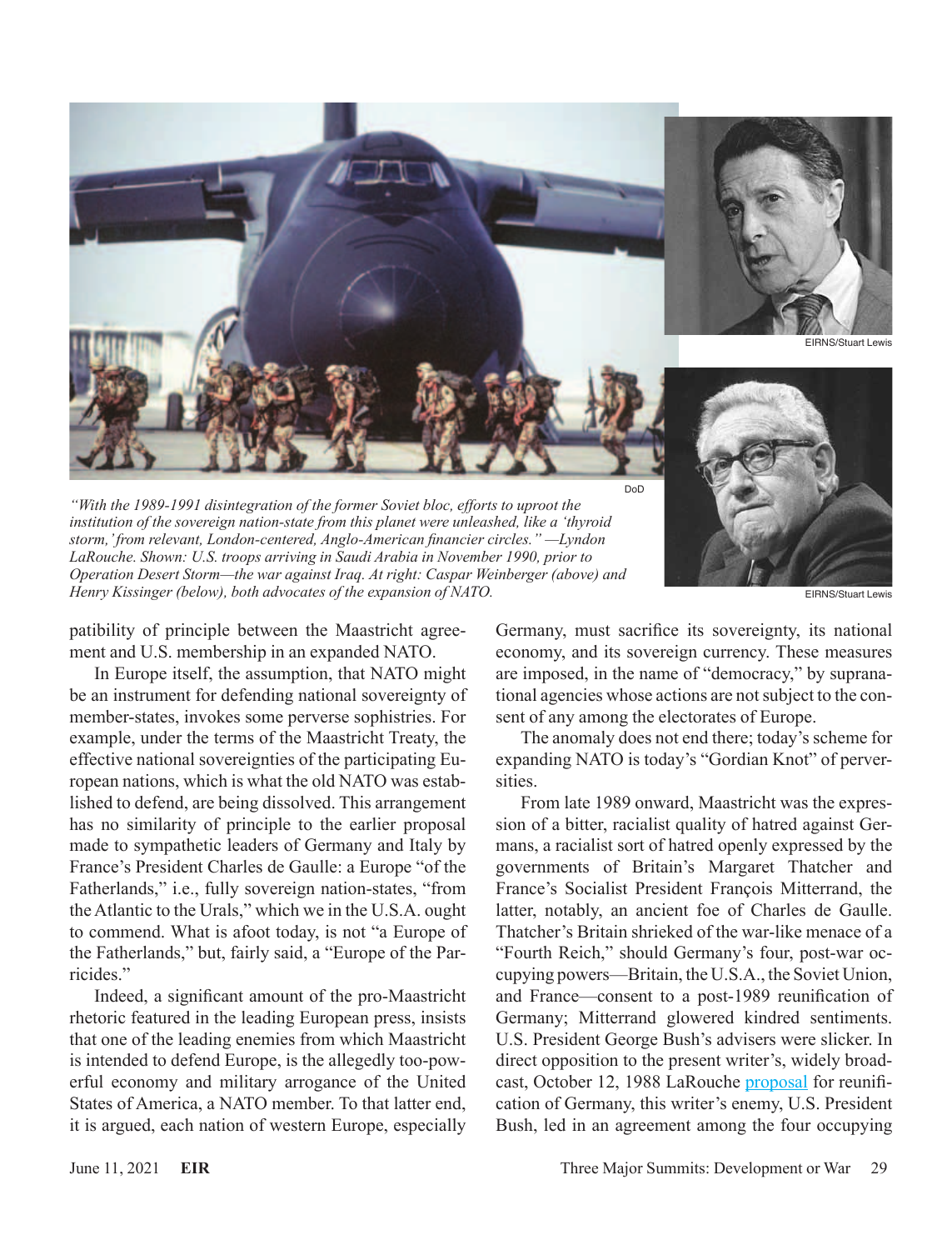

*"With the 1989-1991 disintegration of the former Soviet bloc, efforts to uproot the institution of the sovereign nation-state from this planet were unleashed, like a 'thyroid storm,' from relevant, London-centered, Anglo-American financier circles." —Lyndon LaRouche. Shown: U.S. troops arriving in Saudi Arabia in November 1990, prior to Operation Desert Storm—the war against Iraq. At right: Caspar Weinberger (above) and Henry Kissinger (below), both advocates of the expansion of NATO.* EIRNS/Stuart Lewis EIRNS/Stuart Lewis



patibility of principle between the Maastricht agreement and U.S. membership in an expanded NATO.

In Europe itself, the assumption, that NATO might be an instrument for defending national sovereignty of member-states, invokes some perverse sophistries. For example, under the terms of the Maastricht Treaty, the effective national sovereignties of the participating European nations, which is what the old NATO was established to defend, are being dissolved. This arrangement has no similarity of principle to the earlier proposal made to sympathetic leaders of Germany and Italy by France's President Charles de Gaulle: a Europe "of the Fatherlands," i.e., fully sovereign nation-states, "from the Atlantic to the Urals," which we in the U.S.A. ought to commend. What is afoot today, is not "a Europe of the Fatherlands," but, fairly said, a "Europe of the Parricides."

Indeed, a significant amount of the pro-Maastricht rhetoric featured in the leading European press, insists that one of the leading enemies from which Maastricht is intended to defend Europe, is the allegedly too-powerful economy and military arrogance of the United States of America, a NATO member. To that latter end, it is argued, each nation of western Europe, especially Germany, must sacrifice its sovereignty, its national economy, and its sovereign currency. These measures are imposed, in the name of "democracy," by supranational agencies whose actions are not subject to the consent of any among the electorates of Europe.

The anomaly does not end there; today's scheme for expanding NATO is today's "Gordian Knot" of perversities.

From late 1989 onward, Maastricht was the expression of a bitter, racialist quality of hatred against Germans, a racialist sort of hatred openly expressed by the governments of Britain's Margaret Thatcher and France's Socialist President François Mitterrand, the latter, notably, an ancient foe of Charles de Gaulle. Thatcher's Britain shrieked of the war-like menace of a "Fourth Reich," should Germany's four, post-war occupying powers—Britain, the U.S.A., the Soviet Union, and France—consent to a post-1989 reunification of Germany; Mitterrand glowered kindred sentiments. U.S. President George Bush's advisers were slicker. In direct opposition to the present writer's, widely broadcast, October 12, 1988 LaRouche [proposal](https://archive.schillerinstitute.com/lar_related/LaR_Kempinski.html) for reunification of Germany, this writer's enemy, U.S. President Bush, led in an agreement among the four occupying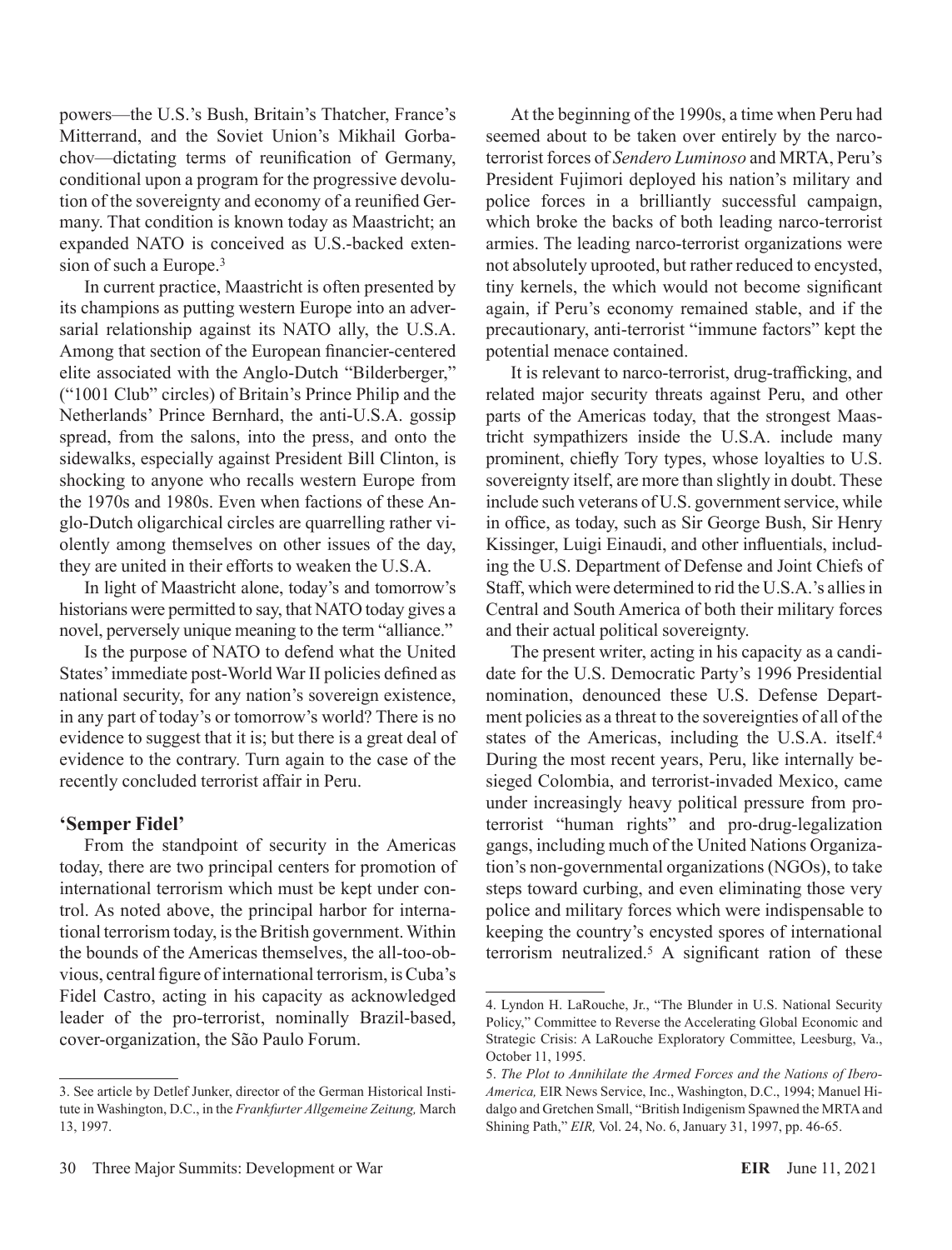powers—the U.S.'s Bush, Britain's Thatcher, France's Mitterrand, and the Soviet Union's Mikhail Gorbachov—dictating terms of reunification of Germany, conditional upon a program for the progressive devolution of the sovereignty and economy of a reunified Germany. That condition is known today as Maastricht; an expanded NATO is conceived as U.S.-backed extension of such a Europe.3

In current practice, Maastricht is often presented by its champions as putting western Europe into an adversarial relationship against its NATO ally, the U.S.A. Among that section of the European financier-centered elite associated with the Anglo-Dutch "Bilderberger," ("1001 Club" circles) of Britain's Prince Philip and the Netherlands' Prince Bernhard, the anti-U.S.A. gossip spread, from the salons, into the press, and onto the sidewalks, especially against President Bill Clinton, is shocking to anyone who recalls western Europe from the 1970s and 1980s. Even when factions of these Anglo-Dutch oligarchical circles are quarrelling rather violently among themselves on other issues of the day, they are united in their efforts to weaken the U.S.A.

In light of Maastricht alone, today's and tomorrow's historians were permitted to say, that NATO today gives a novel, perversely unique meaning to the term "alliance."

Is the purpose of NATO to defend what the United States' immediate post-World War II policies defined as national security, for any nation's sovereign existence, in any part of today's or tomorrow's world? There is no evidence to suggest that it is; but there is a great deal of evidence to the contrary. Turn again to the case of the recently concluded terrorist affair in Peru.

## **'Semper Fidel'**

From the standpoint of security in the Americas today, there are two principal centers for promotion of international terrorism which must be kept under control. As noted above, the principal harbor for international terrorism today, is the British government. Within the bounds of the Americas themselves, the all-too-obvious, central figure of international terrorism, is Cuba's Fidel Castro, acting in his capacity as acknowledged leader of the pro-terrorist, nominally Brazil-based, cover-organization, the São Paulo Forum.

At the beginning of the 1990s, a time when Peru had seemed about to be taken over entirely by the narcoterrorist forces of *Sendero Luminoso* and MRTA, Peru's President Fujimori deployed his nation's military and police forces in a brilliantly successful campaign, which broke the backs of both leading narco-terrorist armies. The leading narco-terrorist organizations were not absolutely uprooted, but rather reduced to encysted, tiny kernels, the which would not become significant again, if Peru's economy remained stable, and if the precautionary, anti-terrorist "immune factors" kept the potential menace contained.

It is relevant to narco-terrorist, drug-trafficking, and related major security threats against Peru, and other parts of the Americas today, that the strongest Maastricht sympathizers inside the U.S.A. include many prominent, chiefly Tory types, whose loyalties to U.S. sovereignty itself, are more than slightly in doubt. These include such veterans of U.S. government service, while in office, as today, such as Sir George Bush, Sir Henry Kissinger, Luigi Einaudi, and other influentials, including the U.S. Department of Defense and Joint Chiefs of Staff, which were determined to rid the U.S.A.'s allies in Central and South America of both their military forces and their actual political sovereignty.

The present writer, acting in his capacity as a candidate for the U.S. Democratic Party's 1996 Presidential nomination, denounced these U.S. Defense Department policies as a threat to the sovereignties of all of the states of the Americas, including the U.S.A. itself.<sup>4</sup> During the most recent years, Peru, like internally besieged Colombia, and terrorist-invaded Mexico, came under increasingly heavy political pressure from proterrorist "human rights" and pro-drug-legalization gangs, including much of the United Nations Organization's non-governmental organizations (NGOs), to take steps toward curbing, and even eliminating those very police and military forces which were indispensable to keeping the country's encysted spores of international terrorism neutralized.5 A significant ration of these

<sup>3.</sup> See article by Detlef Junker, director of the German Historical Institute in Washington, D.C., in the *Frankfurter Allgemeine Zeitung,* March 13, 1997.

<sup>4.</sup> Lyndon H. LaRouche, Jr., "The Blunder in U.S. National Security Policy," Committee to Reverse the Accelerating Global Economic and Strategic Crisis: A LaRouche Exploratory Committee, Leesburg, Va., October 11, 1995.

<sup>5.</sup> *The Plot to Annihilate the Armed Forces and the Nations of Ibero-America,* EIR News Service, Inc., Washington, D.C., 1994; Manuel Hidalgo and Gretchen Small, "British Indigenism Spawned the MRTA and Shining Path," *EIR,* Vol. 24, No. 6, January 31, 1997, pp. 46-65.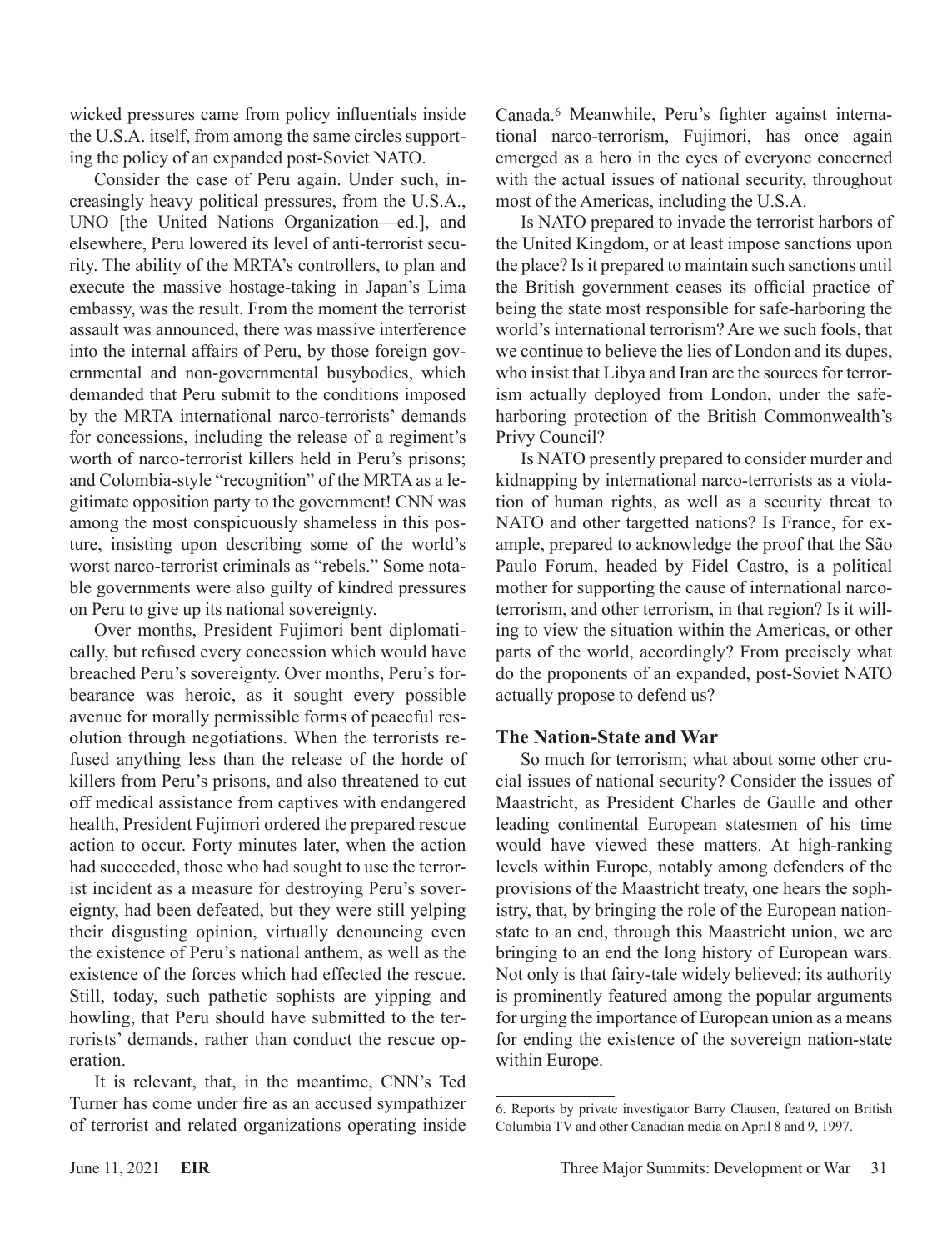wicked pressures came from policy influentials inside the U.S.A. itself, from among the same circles supporting the policy of an expanded post-Soviet NATO.

Consider the case of Peru again. Under such, increasingly heavy political pressures, from the U.S.A., UNO [the United Nations Organization—ed.], and elsewhere, Peru lowered its level of anti-terrorist security. The ability of the MRTA's controllers, to plan and execute the massive hostage-taking in Japan's Lima embassy, was the result. From the moment the terrorist assault was announced, there was massive interference into the internal affairs of Peru, by those foreign governmental and non-governmental busybodies, which demanded that Peru submit to the conditions imposed by the MRTA international narco-terrorists' demands for concessions, including the release of a regiment's worth of narco-terrorist killers held in Peru's prisons; and Colombia-style "recognition" of the MRTA as a legitimate opposition party to the government! CNN was among the most conspicuously shameless in this posture, insisting upon describing some of the world's worst narco-terrorist criminals as "rebels." Some notable governments were also guilty of kindred pressures on Peru to give up its national sovereignty.

Over months, President Fujimori bent diplomatically, but refused every concession which would have breached Peru's sovereignty. Over months, Peru's forbearance was heroic, as it sought every possible avenue for morally permissible forms of peaceful resolution through negotiations. When the terrorists refused anything less than the release of the horde of killers from Peru's prisons, and also threatened to cut off medical assistance from captives with endangered health, President Fujimori ordered the prepared rescue action to occur. Forty minutes later, when the action had succeeded, those who had sought to use the terrorist incident as a measure for destroying Peru's sovereignty, had been defeated, but they were still yelping their disgusting opinion, virtually denouncing even the existence of Peru's national anthem, as well as the existence of the forces which had effected the rescue. Still, today, such pathetic sophists are yipping and howling, that Peru should have submitted to the terrorists' demands, rather than conduct the rescue operation.

It is relevant, that, in the meantime, CNN's Ted Turner has come under fire as an accused sympathizer of terrorist and related organizations operating inside Canada.6 Meanwhile, Peru's fighter against international narco-terrorism, Fujimori, has once again emerged as a hero in the eyes of everyone concerned with the actual issues of national security, throughout most of the Americas, including the U.S.A.

Is NATO prepared to invade the terrorist harbors of the United Kingdom, or at least impose sanctions upon the place? Is it prepared to maintain such sanctions until the British government ceases its official practice of being the state most responsible for safe-harboring the world's international terrorism? Are we such fools, that we continue to believe the lies of London and its dupes, who insist that Libya and Iran are the sources for terrorism actually deployed from London, under the safeharboring protection of the British Commonwealth's Privy Council?

Is NATO presently prepared to consider murder and kidnapping by international narco-terrorists as a violation of human rights, as well as a security threat to NATO and other targetted nations? Is France, for example, prepared to acknowledge the proof that the São Paulo Forum, headed by Fidel Castro, is a political mother for supporting the cause of international narcoterrorism, and other terrorism, in that region? Is it willing to view the situation within the Americas, or other parts of the world, accordingly? From precisely what do the proponents of an expanded, post-Soviet NATO actually propose to defend us?

## **The Nation-State and War**

So much for terrorism; what about some other crucial issues of national security? Consider the issues of Maastricht, as President Charles de Gaulle and other leading continental European statesmen of his time would have viewed these matters. At high-ranking levels within Europe, notably among defenders of the provisions of the Maastricht treaty, one hears the sophistry, that, by bringing the role of the European nationstate to an end, through this Maastricht union, we are bringing to an end the long history of European wars. Not only is that fairy-tale widely believed; its authority is prominently featured among the popular arguments for urging the importance of European union as a means for ending the existence of the sovereign nation-state within Europe.

<sup>6.</sup> Reports by private investigator Barry Clausen, featured on British Columbia TV and other Canadian media on April 8 and 9, 1997.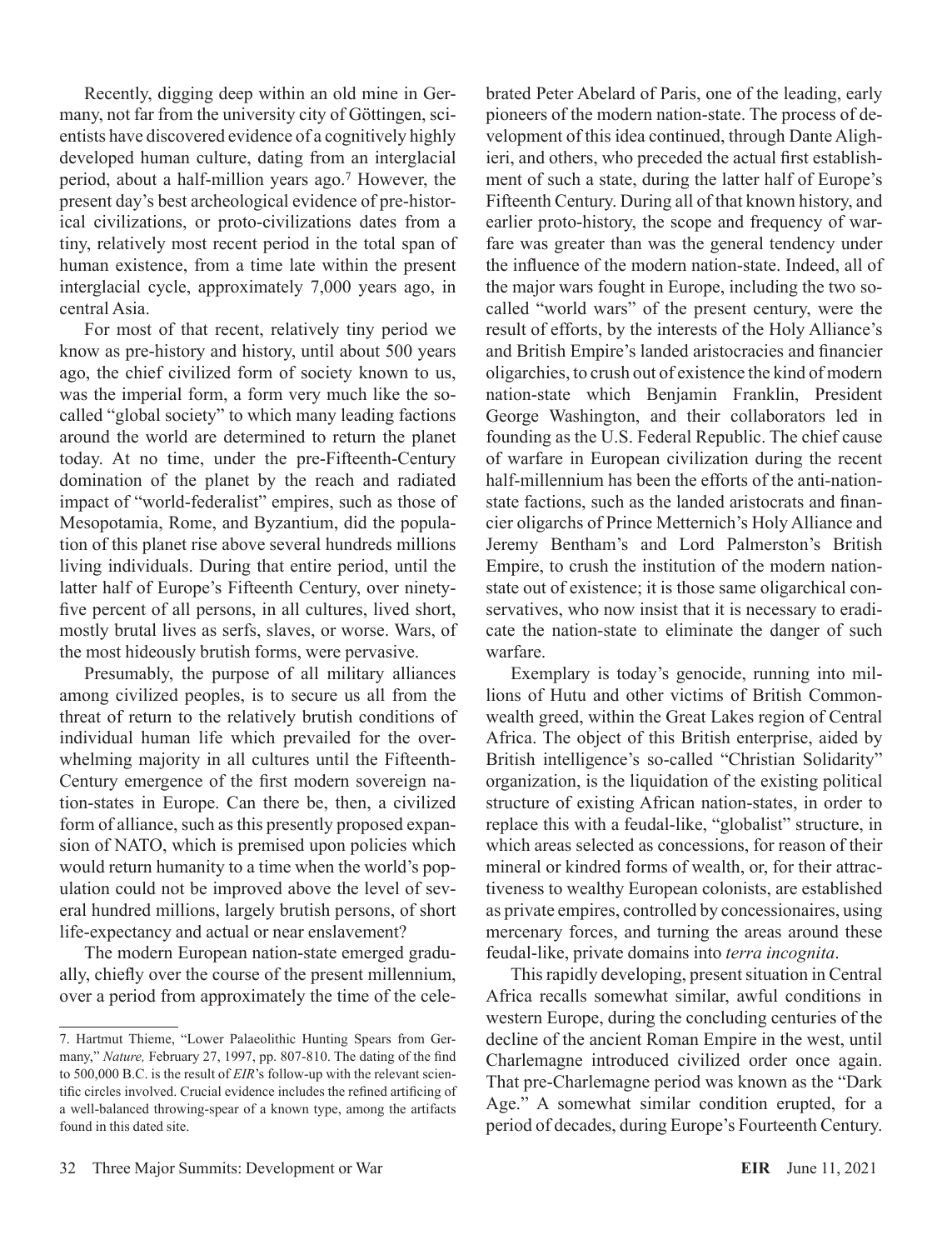Recently, digging deep within an old mine in Germany, not far from the university city of Göttingen, scientists have discovered evidence of a cognitively highly developed human culture, dating from an interglacial period, about a half-million years ago.7 However, the present day's best archeological evidence of pre-historical civilizations, or proto-civilizations dates from a tiny, relatively most recent period in the total span of human existence, from a time late within the present interglacial cycle, approximately 7,000 years ago, in central Asia.

For most of that recent, relatively tiny period we know as pre-history and history, until about 500 years ago, the chief civilized form of society known to us, was the imperial form, a form very much like the socalled "global society" to which many leading factions around the world are determined to return the planet today. At no time, under the pre-Fifteenth-Century domination of the planet by the reach and radiated impact of "world-federalist" empires, such as those of Mesopotamia, Rome, and Byzantium, did the population of this planet rise above several hundreds millions living individuals. During that entire period, until the latter half of Europe's Fifteenth Century, over ninetyfive percent of all persons, in all cultures, lived short, mostly brutal lives as serfs, slaves, or worse. Wars, of the most hideously brutish forms, were pervasive.

Presumably, the purpose of all military alliances among civilized peoples, is to secure us all from the threat of return to the relatively brutish conditions of individual human life which prevailed for the overwhelming majority in all cultures until the Fifteenth-Century emergence of the first modern sovereign nation-states in Europe. Can there be, then, a civilized form of alliance, such as this presently proposed expansion of NATO, which is premised upon policies which would return humanity to a time when the world's population could not be improved above the level of several hundred millions, largely brutish persons, of short life-expectancy and actual or near enslavement?

The modern European nation-state emerged gradually, chiefly over the course of the present millennium, over a period from approximately the time of the celebrated Peter Abelard of Paris, one of the leading, early pioneers of the modern nation-state. The process of development of this idea continued, through Dante Alighieri, and others, who preceded the actual first establishment of such a state, during the latter half of Europe's Fifteenth Century. During all of that known history, and earlier proto-history, the scope and frequency of warfare was greater than was the general tendency under the influence of the modern nation-state. Indeed, all of the major wars fought in Europe, including the two socalled "world wars" of the present century, were the result of efforts, by the interests of the Holy Alliance's and British Empire's landed aristocracies and financier oligarchies, to crush out of existence the kind of modern nation-state which Benjamin Franklin, President George Washington, and their collaborators led in founding as the U.S. Federal Republic. The chief cause of warfare in European civilization during the recent half-millennium has been the efforts of the anti-nationstate factions, such as the landed aristocrats and financier oligarchs of Prince Metternich's Holy Alliance and Jeremy Bentham's and Lord Palmerston's British Empire, to crush the institution of the modern nationstate out of existence; it is those same oligarchical conservatives, who now insist that it is necessary to eradicate the nation-state to eliminate the danger of such warfare.

Exemplary is today's genocide, running into millions of Hutu and other victims of British Commonwealth greed, within the Great Lakes region of Central Africa. The object of this British enterprise, aided by British intelligence's so-called "Christian Solidarity" organization, is the liquidation of the existing political structure of existing African nation-states, in order to replace this with a feudal-like, "globalist" structure, in which areas selected as concessions, for reason of their mineral or kindred forms of wealth, or, for their attractiveness to wealthy European colonists, are established as private empires, controlled by concessionaires, using mercenary forces, and turning the areas around these feudal-like, private domains into *terra incognita*.

This rapidly developing, present situation in Central Africa recalls somewhat similar, awful conditions in western Europe, during the concluding centuries of the decline of the ancient Roman Empire in the west, until Charlemagne introduced civilized order once again. That pre-Charlemagne period was known as the "Dark Age." A somewhat similar condition erupted, for a period of decades, during Europe's Fourteenth Century.

<sup>7.</sup> Hartmut Thieme, "Lower Palaeolithic Hunting Spears from Germany," *Nature,* February 27, 1997, pp. 807-810. The dating of the find to 500,000 B.C. is the result of *EIR*'s follow-up with the relevant scientific circles involved. Crucial evidence includes the refined artificing of a well-balanced throwing-spear of a known type, among the artifacts found in this dated site.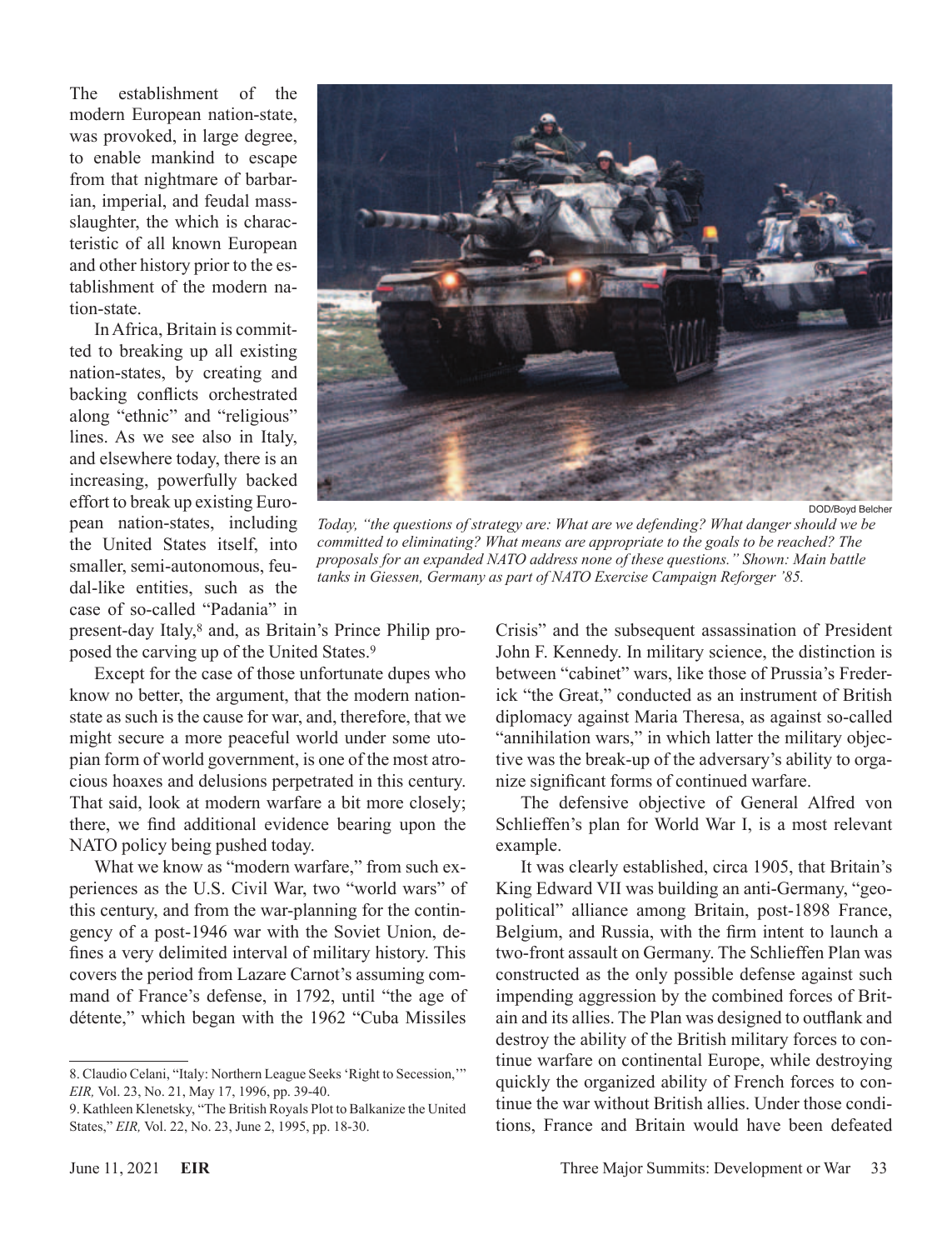The establishment of the modern European nation-state, was provoked, in large degree, to enable mankind to escape from that nightmare of barbarian, imperial, and feudal massslaughter, the which is characteristic of all known European and other history prior to the establishment of the modern nation-state.

In Africa, Britain is committed to breaking up all existing nation-states, by creating and backing conflicts orchestrated along "ethnic" and "religious" lines. As we see also in Italy, and elsewhere today, there is an increasing, powerfully backed effort to break up existing European nation-states, including the United States itself, into smaller, semi-autonomous, feudal-like entities, such as the case of so-called "Padania" in



DOD/Boyd Belcher

*Today, "the questions of strategy are: What are we defending? What danger should we be committed to eliminating? What means are appropriate to the goals to be reached? The proposals for an expanded NATO address none of these questions." Shown: Main battle tanks in Giessen, Germany as part of NATO Exercise Campaign Reforger '85.*

present-day Italy,8 and, as Britain's Prince Philip proposed the carving up of the United States.9

Except for the case of those unfortunate dupes who know no better, the argument, that the modern nationstate as such is the cause for war, and, therefore, that we might secure a more peaceful world under some utopian form of world government, is one of the most atrocious hoaxes and delusions perpetrated in this century. That said, look at modern warfare a bit more closely; there, we find additional evidence bearing upon the NATO policy being pushed today.

What we know as "modern warfare," from such experiences as the U.S. Civil War, two "world wars" of this century, and from the war-planning for the contingency of a post-1946 war with the Soviet Union, defines a very delimited interval of military history. This covers the period from Lazare Carnot's assuming command of France's defense, in 1792, until "the age of détente," which began with the 1962 "Cuba Missiles

Crisis" and the subsequent assassination of President John F. Kennedy. In military science, the distinction is between "cabinet" wars, like those of Prussia's Frederick "the Great," conducted as an instrument of British diplomacy against Maria Theresa, as against so-called "annihilation wars," in which latter the military objective was the break-up of the adversary's ability to organize significant forms of continued warfare.

The defensive objective of General Alfred von Schlieffen's plan for World War I, is a most relevant example.

It was clearly established, circa 1905, that Britain's King Edward VII was building an anti-Germany, "geopolitical" alliance among Britain, post-1898 France, Belgium, and Russia, with the firm intent to launch a two-front assault on Germany. The Schlieffen Plan was constructed as the only possible defense against such impending aggression by the combined forces of Britain and its allies. The Plan was designed to outflank and destroy the ability of the British military forces to continue warfare on continental Europe, while destroying quickly the organized ability of French forces to continue the war without British allies. Under those conditions, France and Britain would have been defeated

<sup>8.</sup> Claudio Celani, "Italy: Northern League Seeks 'Right to Secession,'" *EIR,* Vol. 23, No. 21, May 17, 1996, pp. 39-40.

<sup>9.</sup> Kathleen Klenetsky, "The British Royals Plot to Balkanize the United States," *EIR,* Vol. 22, No. 23, June 2, 1995, pp. 18-30.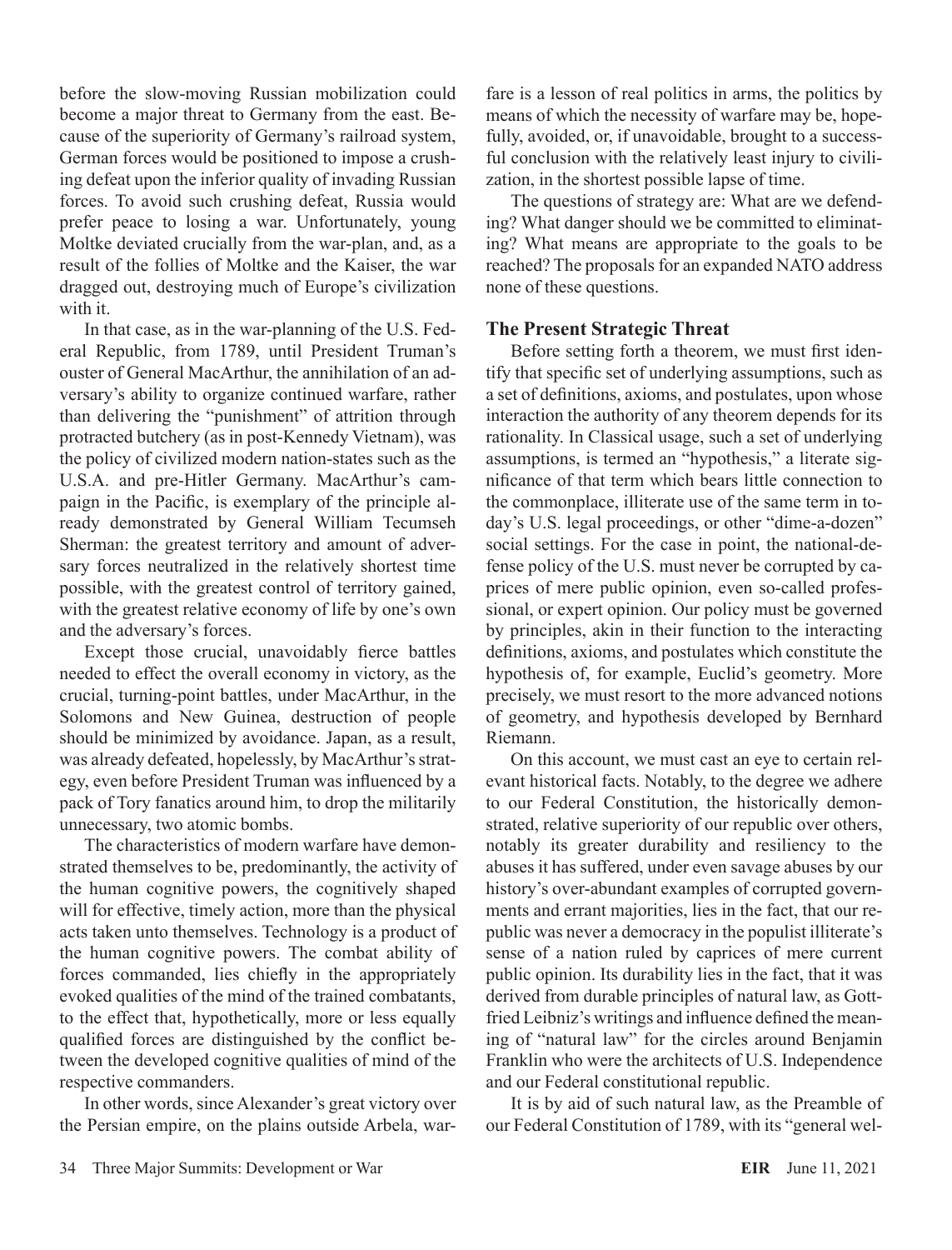before the slow-moving Russian mobilization could become a major threat to Germany from the east. Because of the superiority of Germany's railroad system, German forces would be positioned to impose a crushing defeat upon the inferior quality of invading Russian forces. To avoid such crushing defeat, Russia would prefer peace to losing a war. Unfortunately, young Moltke deviated crucially from the war-plan, and, as a result of the follies of Moltke and the Kaiser, the war dragged out, destroying much of Europe's civilization with it.

In that case, as in the war-planning of the U.S. Federal Republic, from 1789, until President Truman's ouster of General MacArthur, the annihilation of an adversary's ability to organize continued warfare, rather than delivering the "punishment" of attrition through protracted butchery (as in post-Kennedy Vietnam), was the policy of civilized modern nation-states such as the U.S.A. and pre-Hitler Germany. MacArthur's campaign in the Pacific, is exemplary of the principle already demonstrated by General William Tecumseh Sherman: the greatest territory and amount of adversary forces neutralized in the relatively shortest time possible, with the greatest control of territory gained, with the greatest relative economy of life by one's own and the adversary's forces.

Except those crucial, unavoidably fierce battles needed to effect the overall economy in victory, as the crucial, turning-point battles, under MacArthur, in the Solomons and New Guinea, destruction of people should be minimized by avoidance. Japan, as a result, was already defeated, hopelessly, by MacArthur's strategy, even before President Truman was influenced by a pack of Tory fanatics around him, to drop the militarily unnecessary, two atomic bombs.

The characteristics of modern warfare have demonstrated themselves to be, predominantly, the activity of the human cognitive powers, the cognitively shaped will for effective, timely action, more than the physical acts taken unto themselves. Technology is a product of the human cognitive powers. The combat ability of forces commanded, lies chiefly in the appropriately evoked qualities of the mind of the trained combatants, to the effect that, hypothetically, more or less equally qualified forces are distinguished by the conflict between the developed cognitive qualities of mind of the respective commanders.

In other words, since Alexander's great victory over the Persian empire, on the plains outside Arbela, warfare is a lesson of real politics in arms, the politics by means of which the necessity of warfare may be, hopefully, avoided, or, if unavoidable, brought to a successful conclusion with the relatively least injury to civilization, in the shortest possible lapse of time.

The questions of strategy are: What are we defending? What danger should we be committed to eliminating? What means are appropriate to the goals to be reached? The proposals for an expanded NATO address none of these questions.

## **The Present Strategic Threat**

Before setting forth a theorem, we must first identify that specific set of underlying assumptions, such as a set of definitions, axioms, and postulates, upon whose interaction the authority of any theorem depends for its rationality. In Classical usage, such a set of underlying assumptions, is termed an "hypothesis," a literate significance of that term which bears little connection to the commonplace, illiterate use of the same term in today's U.S. legal proceedings, or other "dime-a-dozen" social settings. For the case in point, the national-defense policy of the U.S. must never be corrupted by caprices of mere public opinion, even so-called professional, or expert opinion. Our policy must be governed by principles, akin in their function to the interacting definitions, axioms, and postulates which constitute the hypothesis of, for example, Euclid's geometry. More precisely, we must resort to the more advanced notions of geometry, and hypothesis developed by Bernhard Riemann.

On this account, we must cast an eye to certain relevant historical facts. Notably, to the degree we adhere to our Federal Constitution, the historically demonstrated, relative superiority of our republic over others, notably its greater durability and resiliency to the abuses it has suffered, under even savage abuses by our history's over-abundant examples of corrupted governments and errant majorities, lies in the fact, that our republic was never a democracy in the populist illiterate's sense of a nation ruled by caprices of mere current public opinion. Its durability lies in the fact, that it was derived from durable principles of natural law, as Gottfried Leibniz's writings and influence defined the meaning of "natural law" for the circles around Benjamin Franklin who were the architects of U.S. Independence and our Federal constitutional republic.

It is by aid of such natural law, as the Preamble of our Federal Constitution of 1789, with its "general wel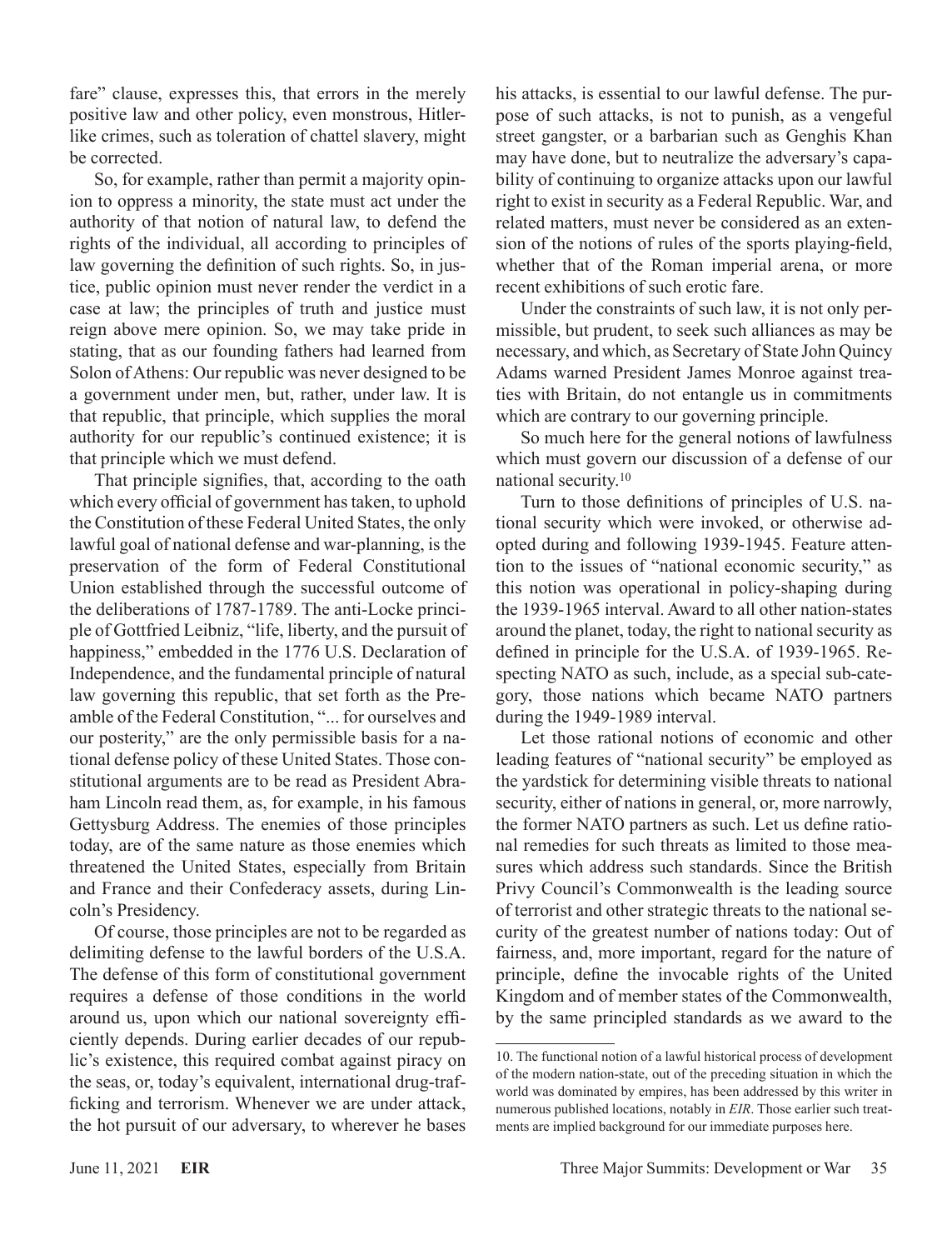fare" clause, expresses this, that errors in the merely positive law and other policy, even monstrous, Hitlerlike crimes, such as toleration of chattel slavery, might be corrected.

So, for example, rather than permit a majority opinion to oppress a minority, the state must act under the authority of that notion of natural law, to defend the rights of the individual, all according to principles of law governing the definition of such rights. So, in justice, public opinion must never render the verdict in a case at law; the principles of truth and justice must reign above mere opinion. So, we may take pride in stating, that as our founding fathers had learned from Solon of Athens: Our republic was never designed to be a government under men, but, rather, under law. It is that republic, that principle, which supplies the moral authority for our republic's continued existence; it is that principle which we must defend.

That principle signifies, that, according to the oath which every official of government has taken, to uphold the Constitution of these Federal United States, the only lawful goal of national defense and war-planning, is the preservation of the form of Federal Constitutional Union established through the successful outcome of the deliberations of 1787-1789. The anti-Locke principle of Gottfried Leibniz, "life, liberty, and the pursuit of happiness," embedded in the 1776 U.S. Declaration of Independence, and the fundamental principle of natural law governing this republic, that set forth as the Preamble of the Federal Constitution, "... for ourselves and our posterity," are the only permissible basis for a national defense policy of these United States. Those constitutional arguments are to be read as President Abraham Lincoln read them, as, for example, in his famous Gettysburg Address. The enemies of those principles today, are of the same nature as those enemies which threatened the United States, especially from Britain and France and their Confederacy assets, during Lincoln's Presidency.

Of course, those principles are not to be regarded as delimiting defense to the lawful borders of the U.S.A. The defense of this form of constitutional government requires a defense of those conditions in the world around us, upon which our national sovereignty efficiently depends. During earlier decades of our republic's existence, this required combat against piracy on the seas, or, today's equivalent, international drug-trafficking and terrorism. Whenever we are under attack, the hot pursuit of our adversary, to wherever he bases

his attacks, is essential to our lawful defense. The purpose of such attacks, is not to punish, as a vengeful street gangster, or a barbarian such as Genghis Khan may have done, but to neutralize the adversary's capability of continuing to organize attacks upon our lawful right to exist in security as a Federal Republic. War, and related matters, must never be considered as an extension of the notions of rules of the sports playing-field, whether that of the Roman imperial arena, or more recent exhibitions of such erotic fare.

Under the constraints of such law, it is not only permissible, but prudent, to seek such alliances as may be necessary, and which, as Secretary of State John Quincy Adams warned President James Monroe against treaties with Britain, do not entangle us in commitments which are contrary to our governing principle.

So much here for the general notions of lawfulness which must govern our discussion of a defense of our national security.10

Turn to those definitions of principles of U.S. national security which were invoked, or otherwise adopted during and following 1939-1945. Feature attention to the issues of "national economic security," as this notion was operational in policy-shaping during the 1939-1965 interval. Award to all other nation-states around the planet, today, the right to national security as defined in principle for the U.S.A. of 1939-1965. Respecting NATO as such, include, as a special sub-category, those nations which became NATO partners during the 1949-1989 interval.

Let those rational notions of economic and other leading features of "national security" be employed as the yardstick for determining visible threats to national security, either of nations in general, or, more narrowly, the former NATO partners as such. Let us define rational remedies for such threats as limited to those measures which address such standards. Since the British Privy Council's Commonwealth is the leading source of terrorist and other strategic threats to the national security of the greatest number of nations today: Out of fairness, and, more important, regard for the nature of principle, define the invocable rights of the United Kingdom and of member states of the Commonwealth, by the same principled standards as we award to the

<sup>10.</sup> The functional notion of a lawful historical process of development of the modern nation-state, out of the preceding situation in which the world was dominated by empires, has been addressed by this writer in numerous published locations, notably in *EIR*. Those earlier such treatments are implied background for our immediate purposes here.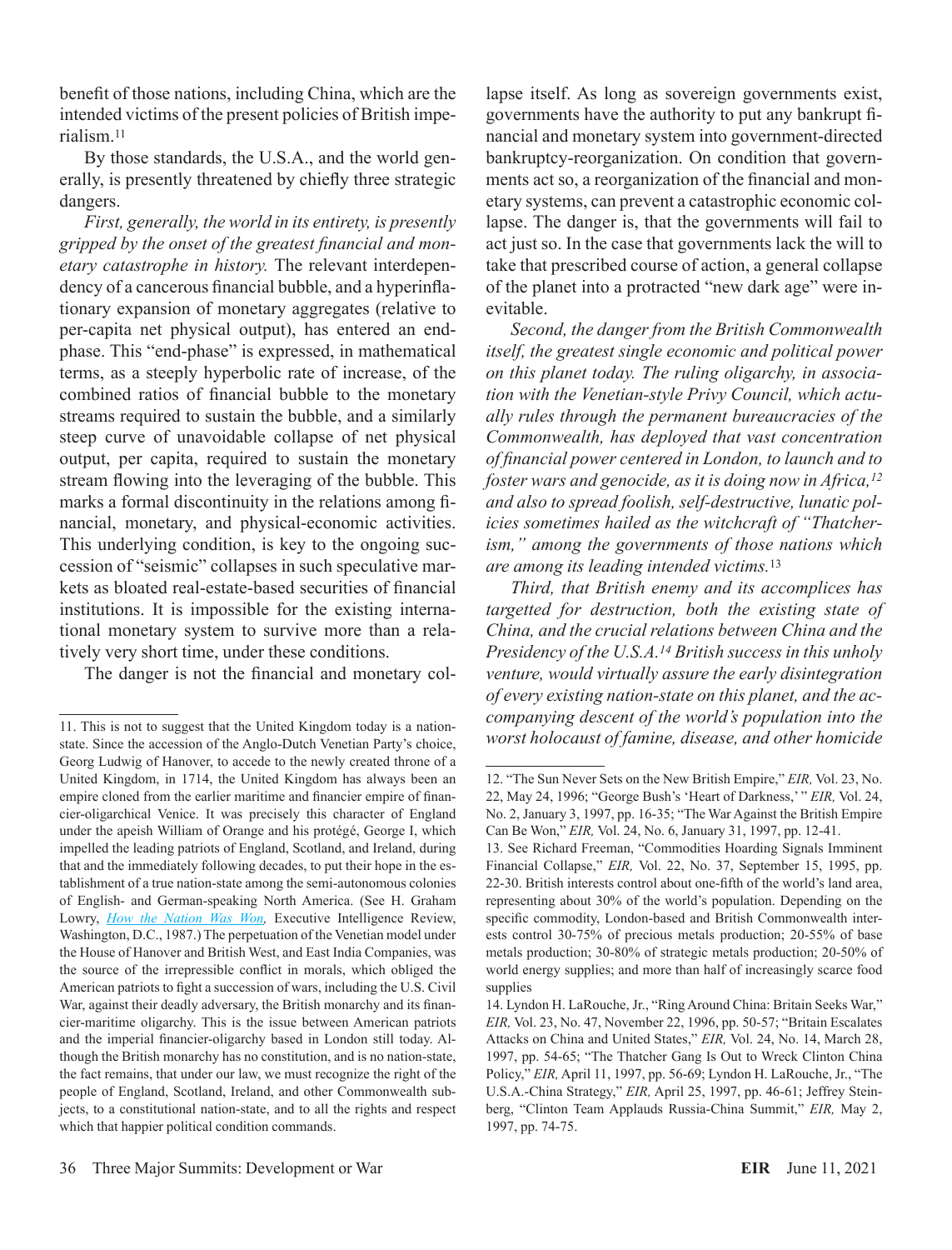benefit of those nations, including China, which are the intended victims of the present policies of British imperialism.11

By those standards, the U.S.A., and the world generally, is presently threatened by chiefly three strategic dangers.

*First, generally, the world in its entirety, is presently gripped by the onset of the greatest financial and monetary catastrophe in history.* The relevant interdependency of a cancerous financial bubble, and a hyperinflationary expansion of monetary aggregates (relative to per-capita net physical output), has entered an endphase. This "end-phase" is expressed, in mathematical terms, as a steeply hyperbolic rate of increase, of the combined ratios of financial bubble to the monetary streams required to sustain the bubble, and a similarly steep curve of unavoidable collapse of net physical output, per capita, required to sustain the monetary stream flowing into the leveraging of the bubble. This marks a formal discontinuity in the relations among financial, monetary, and physical-economic activities. This underlying condition, is key to the ongoing succession of "seismic" collapses in such speculative markets as bloated real-estate-based securities of financial institutions. It is impossible for the existing international monetary system to survive more than a relatively very short time, under these conditions.

The danger is not the financial and monetary col-

lapse itself. As long as sovereign governments exist, governments have the authority to put any bankrupt financial and monetary system into government-directed bankruptcy-reorganization. On condition that governments act so, a reorganization of the financial and monetary systems, can prevent a catastrophic economic collapse. The danger is, that the governments will fail to act just so. In the case that governments lack the will to take that prescribed course of action, a general collapse of the planet into a protracted "new dark age" were inevitable.

*Second, the danger from the British Commonwealth itself, the greatest single economic and political power on this planet today. The ruling oligarchy, in association with the Venetian-style Privy Council, which actually rules through the permanent bureaucracies of the Commonwealth, has deployed that vast concentration of financial power centered in London, to launch and to foster wars and genocide, as it is doing now in Africa,12 and also to spread foolish, self-destructive, lunatic policies sometimes hailed as the witchcraft of "Thatcherism," among the governments of those nations which are among its leading intended victims.*<sup>13</sup>

*Third, that British enemy and its accomplices has targetted for destruction, both the existing state of China, and the crucial relations between China and the Presidency of the U.S.A.14 British success in this unholy venture, would virtually assure the early disintegration of every existing nation-state on this planet, and the accompanying descent of the world's population into the worst holocaust of famine, disease, and other homicide* 

<sup>11.</sup> This is not to suggest that the United Kingdom today is a nationstate. Since the accession of the Anglo-Dutch Venetian Party's choice, Georg Ludwig of Hanover, to accede to the newly created throne of a United Kingdom, in 1714, the United Kingdom has always been an empire cloned from the earlier maritime and financier empire of financier-oligarchical Venice. It was precisely this character of England under the apeish William of Orange and his protégé, George I, which impelled the leading patriots of England, Scotland, and Ireland, during that and the immediately following decades, to put their hope in the establishment of a true nation-state among the semi-autonomous colonies of English- and German-speaking North America. (See H. Graham Lowry, *[How the Nation Was Won,](https://store.larouchepub.com/product-p/eirbk-1988-1-0-0.htm)* Executive Intelligence Review, Washington, D.C., 1987.) The perpetuation of the Venetian model under the House of Hanover and British West, and East India Companies, was the source of the irrepressible conflict in morals, which obliged the American patriots to fight a succession of wars, including the U.S. Civil War, against their deadly adversary, the British monarchy and its financier-maritime oligarchy. This is the issue between American patriots and the imperial financier-oligarchy based in London still today. Although the British monarchy has no constitution, and is no nation-state, the fact remains, that under our law, we must recognize the right of the people of England, Scotland, Ireland, and other Commonwealth subjects, to a constitutional nation-state, and to all the rights and respect which that happier political condition commands.

<sup>12. &</sup>quot;The Sun Never Sets on the New British Empire," *EIR,* Vol. 23, No. 22, May 24, 1996; "George Bush's 'Heart of Darkness,' " *EIR,* Vol. 24, No. 2, January 3, 1997, pp. 16-35; "The War Against the British Empire Can Be Won," *EIR,* Vol. 24, No. 6, January 31, 1997, pp. 12-41.

<sup>13.</sup> See Richard Freeman, "Commodities Hoarding Signals Imminent Financial Collapse," *EIR,* Vol. 22, No. 37, September 15, 1995, pp. 22-30. British interests control about one-fifth of the world's land area, representing about 30% of the world's population. Depending on the specific commodity, London-based and British Commonwealth interests control 30-75% of precious metals production; 20-55% of base metals production; 30-80% of strategic metals production; 20-50% of world energy supplies; and more than half of increasingly scarce food supplies

<sup>14.</sup> Lyndon H. LaRouche, Jr., "Ring Around China: Britain Seeks War," *EIR,* Vol. 23, No. 47, November 22, 1996, pp. 50-57; "Britain Escalates Attacks on China and United States," *EIR,* Vol. 24, No. 14, March 28, 1997, pp. 54-65; "The Thatcher Gang Is Out to Wreck Clinton China Policy," *EIR,* April 11, 1997, pp. 56-69; Lyndon H. LaRouche, Jr., "The U.S.A.-China Strategy," *EIR,* April 25, 1997, pp. 46-61; Jeffrey Steinberg, "Clinton Team Applauds Russia-China Summit," *EIR,* May 2, 1997, pp. 74-75.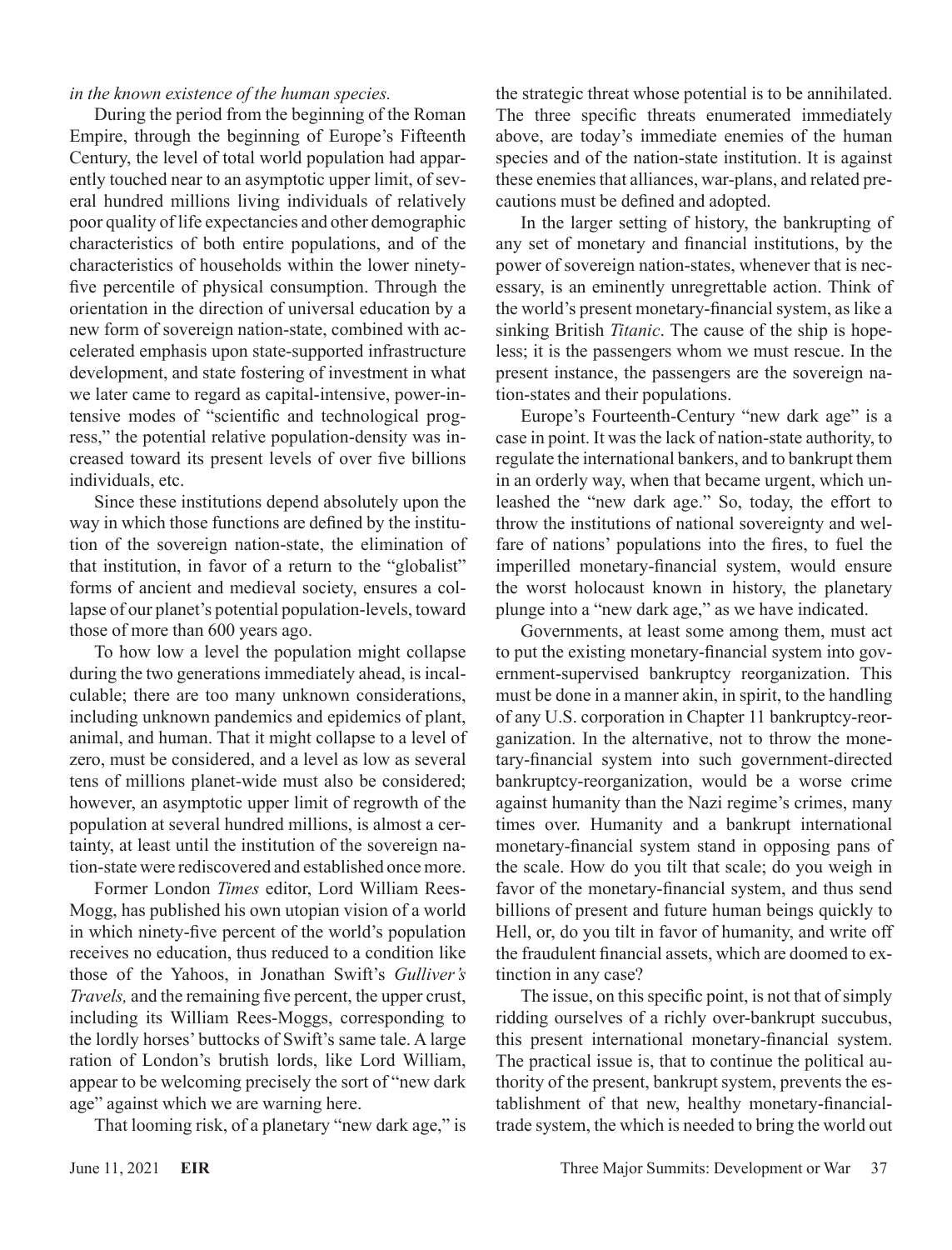#### *in the known existence of the human species.*

During the period from the beginning of the Roman Empire, through the beginning of Europe's Fifteenth Century, the level of total world population had apparently touched near to an asymptotic upper limit, of several hundred millions living individuals of relatively poor quality of life expectancies and other demographic characteristics of both entire populations, and of the characteristics of households within the lower ninetyfive percentile of physical consumption. Through the orientation in the direction of universal education by a new form of sovereign nation-state, combined with accelerated emphasis upon state-supported infrastructure development, and state fostering of investment in what we later came to regard as capital-intensive, power-intensive modes of "scientific and technological progress," the potential relative population-density was increased toward its present levels of over five billions individuals, etc.

Since these institutions depend absolutely upon the way in which those functions are defined by the institution of the sovereign nation-state, the elimination of that institution, in favor of a return to the "globalist" forms of ancient and medieval society, ensures a collapse of our planet's potential population-levels, toward those of more than 600 years ago.

To how low a level the population might collapse during the two generations immediately ahead, is incalculable; there are too many unknown considerations, including unknown pandemics and epidemics of plant, animal, and human. That it might collapse to a level of zero, must be considered, and a level as low as several tens of millions planet-wide must also be considered; however, an asymptotic upper limit of regrowth of the population at several hundred millions, is almost a certainty, at least until the institution of the sovereign nation-state were rediscovered and established once more.

Former London *Times* editor, Lord William Rees-Mogg, has published his own utopian vision of a world in which ninety-five percent of the world's population receives no education, thus reduced to a condition like those of the Yahoos, in Jonathan Swift's *Gulliver's Travels,* and the remaining five percent, the upper crust, including its William Rees-Moggs, corresponding to the lordly horses' buttocks of Swift's same tale. A large ration of London's brutish lords, like Lord William, appear to be welcoming precisely the sort of "new dark age" against which we are warning here.

That looming risk, of a planetary "new dark age," is

the strategic threat whose potential is to be annihilated. The three specific threats enumerated immediately above, are today's immediate enemies of the human species and of the nation-state institution. It is against these enemies that alliances, war-plans, and related precautions must be defined and adopted.

In the larger setting of history, the bankrupting of any set of monetary and financial institutions, by the power of sovereign nation-states, whenever that is necessary, is an eminently unregrettable action. Think of the world's present monetary-financial system, as like a sinking British *Titanic*. The cause of the ship is hopeless; it is the passengers whom we must rescue. In the present instance, the passengers are the sovereign nation-states and their populations.

Europe's Fourteenth-Century "new dark age" is a case in point. It was the lack of nation-state authority, to regulate the international bankers, and to bankrupt them in an orderly way, when that became urgent, which unleashed the "new dark age." So, today, the effort to throw the institutions of national sovereignty and welfare of nations' populations into the fires, to fuel the imperilled monetary-financial system, would ensure the worst holocaust known in history, the planetary plunge into a "new dark age," as we have indicated.

Governments, at least some among them, must act to put the existing monetary-financial system into government-supervised bankruptcy reorganization. This must be done in a manner akin, in spirit, to the handling of any U.S. corporation in Chapter 11 bankruptcy-reorganization. In the alternative, not to throw the monetary-financial system into such government-directed bankruptcy-reorganization, would be a worse crime against humanity than the Nazi regime's crimes, many times over. Humanity and a bankrupt international monetary-financial system stand in opposing pans of the scale. How do you tilt that scale; do you weigh in favor of the monetary-financial system, and thus send billions of present and future human beings quickly to Hell, or, do you tilt in favor of humanity, and write off the fraudulent financial assets, which are doomed to extinction in any case?

The issue, on this specific point, is not that of simply ridding ourselves of a richly over-bankrupt succubus, this present international monetary-financial system. The practical issue is, that to continue the political authority of the present, bankrupt system, prevents the establishment of that new, healthy monetary-financialtrade system, the which is needed to bring the world out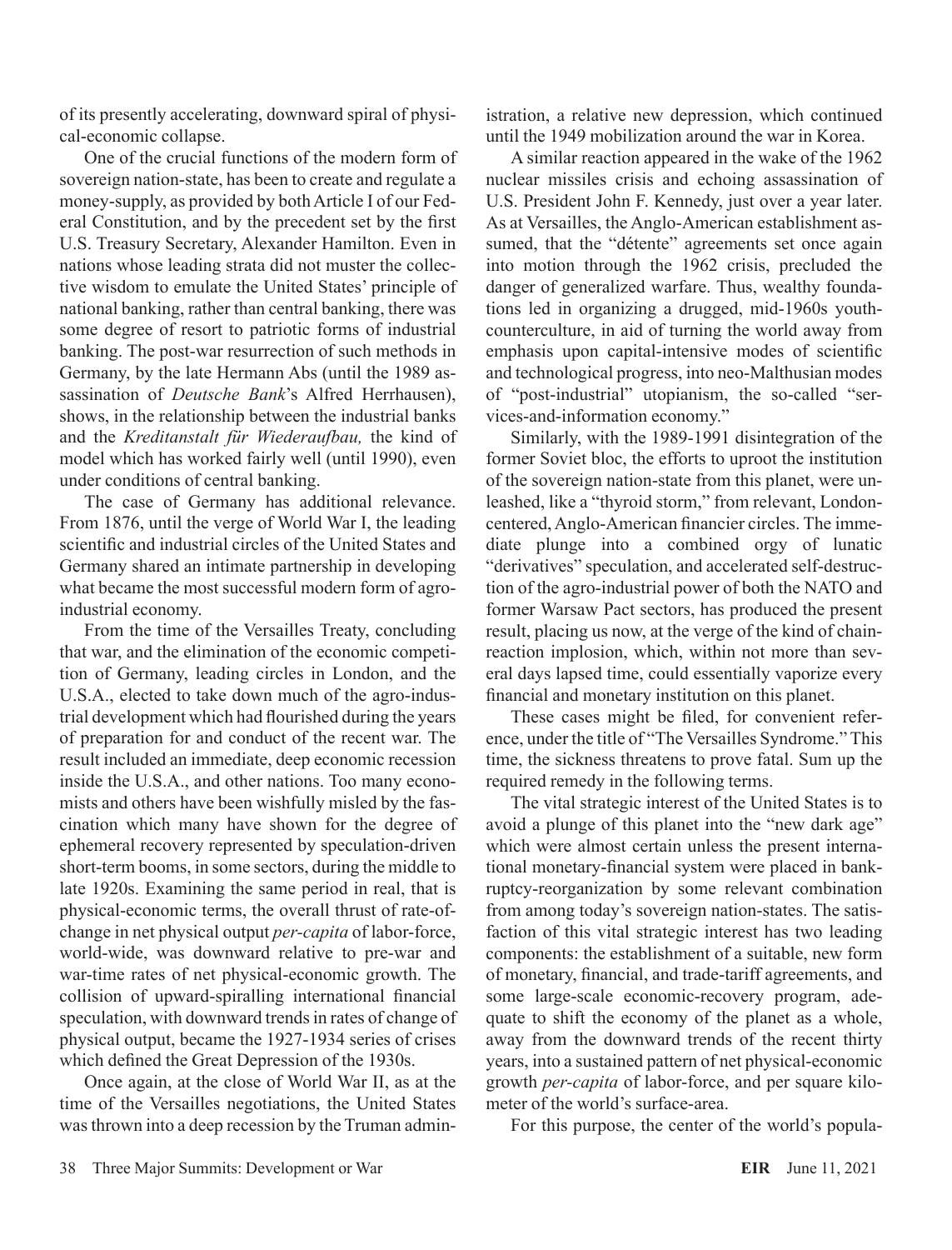of its presently accelerating, downward spiral of physical-economic collapse.

One of the crucial functions of the modern form of sovereign nation-state, has been to create and regulate a money-supply, as provided by both Article I of our Federal Constitution, and by the precedent set by the first U.S. Treasury Secretary, Alexander Hamilton. Even in nations whose leading strata did not muster the collective wisdom to emulate the United States' principle of national banking, rather than central banking, there was some degree of resort to patriotic forms of industrial banking. The post-war resurrection of such methods in Germany, by the late Hermann Abs (until the 1989 assassination of *Deutsche Bank*'s Alfred Herrhausen), shows, in the relationship between the industrial banks and the *Kreditanstalt für Wiederaufbau,* the kind of model which has worked fairly well (until 1990), even under conditions of central banking.

The case of Germany has additional relevance. From 1876, until the verge of World War I, the leading scientific and industrial circles of the United States and Germany shared an intimate partnership in developing what became the most successful modern form of agroindustrial economy.

From the time of the Versailles Treaty, concluding that war, and the elimination of the economic competition of Germany, leading circles in London, and the U.S.A., elected to take down much of the agro-industrial development which had flourished during the years of preparation for and conduct of the recent war. The result included an immediate, deep economic recession inside the U.S.A., and other nations. Too many economists and others have been wishfully misled by the fascination which many have shown for the degree of ephemeral recovery represented by speculation-driven short-term booms, in some sectors, during the middle to late 1920s. Examining the same period in real, that is physical-economic terms, the overall thrust of rate-ofchange in net physical output *per-capita* of labor-force, world-wide, was downward relative to pre-war and war-time rates of net physical-economic growth. The collision of upward-spiralling international financial speculation, with downward trends in rates of change of physical output, became the 1927-1934 series of crises which defined the Great Depression of the 1930s.

Once again, at the close of World War II, as at the time of the Versailles negotiations, the United States was thrown into a deep recession by the Truman administration, a relative new depression, which continued until the 1949 mobilization around the war in Korea.

A similar reaction appeared in the wake of the 1962 nuclear missiles crisis and echoing assassination of U.S. President John F. Kennedy, just over a year later. As at Versailles, the Anglo-American establishment assumed, that the "détente" agreements set once again into motion through the 1962 crisis, precluded the danger of generalized warfare. Thus, wealthy foundations led in organizing a drugged, mid-1960s youthcounterculture, in aid of turning the world away from emphasis upon capital-intensive modes of scientific and technological progress, into neo-Malthusian modes of "post-industrial" utopianism, the so-called "services-and-information economy."

Similarly, with the 1989-1991 disintegration of the former Soviet bloc, the efforts to uproot the institution of the sovereign nation-state from this planet, were unleashed, like a "thyroid storm," from relevant, Londoncentered, Anglo-American financier circles. The immediate plunge into a combined orgy of lunatic "derivatives" speculation, and accelerated self-destruction of the agro-industrial power of both the NATO and former Warsaw Pact sectors, has produced the present result, placing us now, at the verge of the kind of chainreaction implosion, which, within not more than several days lapsed time, could essentially vaporize every financial and monetary institution on this planet.

These cases might be filed, for convenient reference, under the title of "The Versailles Syndrome." This time, the sickness threatens to prove fatal. Sum up the required remedy in the following terms.

The vital strategic interest of the United States is to avoid a plunge of this planet into the "new dark age" which were almost certain unless the present international monetary-financial system were placed in bankruptcy-reorganization by some relevant combination from among today's sovereign nation-states. The satisfaction of this vital strategic interest has two leading components: the establishment of a suitable, new form of monetary, financial, and trade-tariff agreements, and some large-scale economic-recovery program, adequate to shift the economy of the planet as a whole, away from the downward trends of the recent thirty years, into a sustained pattern of net physical-economic growth *per-capita* of labor-force, and per square kilometer of the world's surface-area.

For this purpose, the center of the world's popula-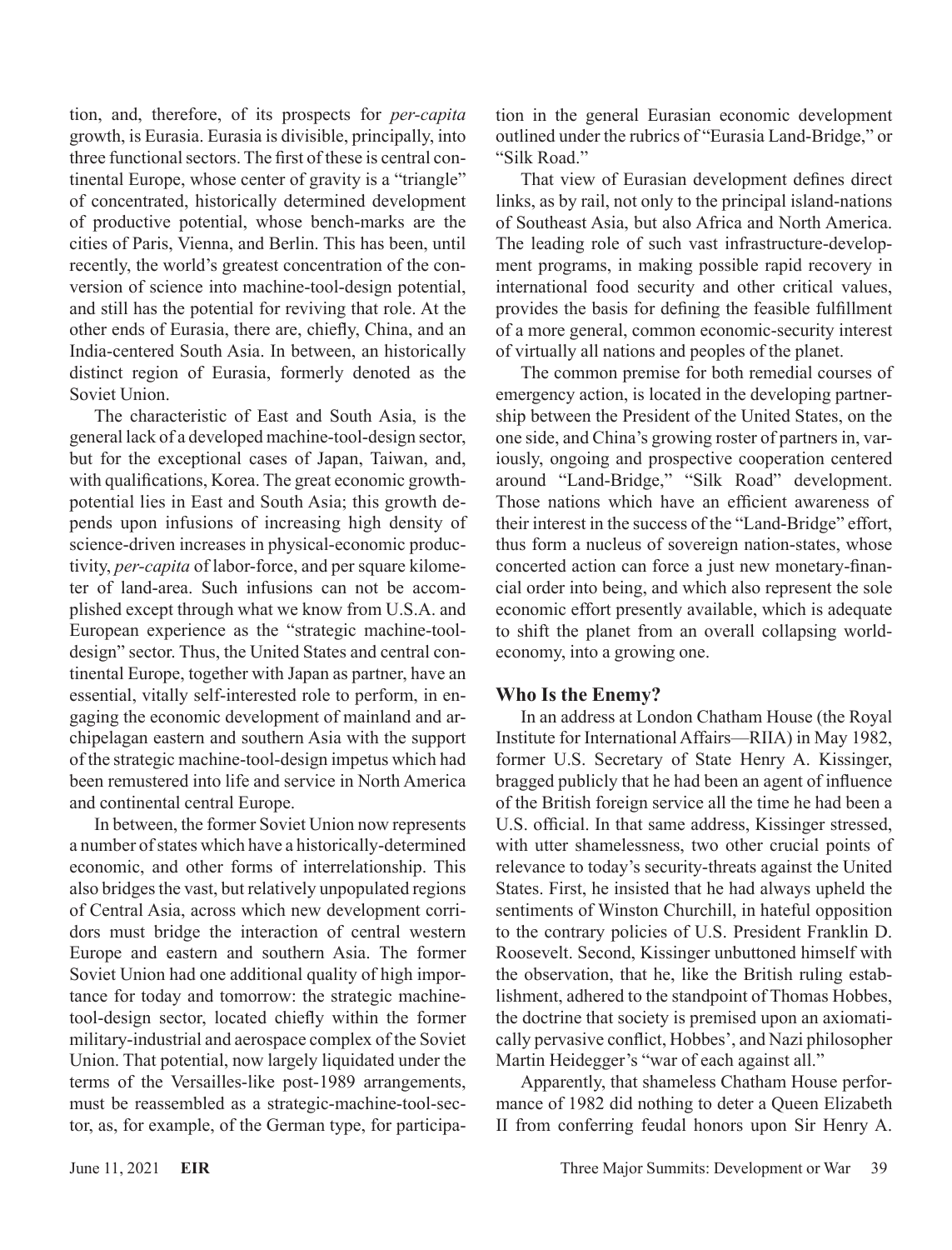tion, and, therefore, of its prospects for *per-capita* growth, is Eurasia. Eurasia is divisible, principally, into three functional sectors. The first of these is central continental Europe, whose center of gravity is a "triangle" of concentrated, historically determined development of productive potential, whose bench-marks are the cities of Paris, Vienna, and Berlin. This has been, until recently, the world's greatest concentration of the conversion of science into machine-tool-design potential, and still has the potential for reviving that role. At the other ends of Eurasia, there are, chiefly, China, and an India-centered South Asia. In between, an historically distinct region of Eurasia, formerly denoted as the Soviet Union.

The characteristic of East and South Asia, is the general lack of a developed machine-tool-design sector, but for the exceptional cases of Japan, Taiwan, and, with qualifications, Korea. The great economic growthpotential lies in East and South Asia; this growth depends upon infusions of increasing high density of science-driven increases in physical-economic productivity, *per-capita* of labor-force, and per square kilometer of land-area. Such infusions can not be accomplished except through what we know from U.S.A. and European experience as the "strategic machine-tooldesign" sector. Thus, the United States and central continental Europe, together with Japan as partner, have an essential, vitally self-interested role to perform, in engaging the economic development of mainland and archipelagan eastern and southern Asia with the support of the strategic machine-tool-design impetus which had been remustered into life and service in North America and continental central Europe.

In between, the former Soviet Union now represents a number of states which have a historically-determined economic, and other forms of interrelationship. This also bridges the vast, but relatively unpopulated regions of Central Asia, across which new development corridors must bridge the interaction of central western Europe and eastern and southern Asia. The former Soviet Union had one additional quality of high importance for today and tomorrow: the strategic machinetool-design sector, located chiefly within the former military-industrial and aerospace complex of the Soviet Union. That potential, now largely liquidated under the terms of the Versailles-like post-1989 arrangements, must be reassembled as a strategic-machine-tool-sector, as, for example, of the German type, for participation in the general Eurasian economic development outlined under the rubrics of "Eurasia Land-Bridge," or "Silk Road."

That view of Eurasian development defines direct links, as by rail, not only to the principal island-nations of Southeast Asia, but also Africa and North America. The leading role of such vast infrastructure-development programs, in making possible rapid recovery in international food security and other critical values, provides the basis for defining the feasible fulfillment of a more general, common economic-security interest of virtually all nations and peoples of the planet.

The common premise for both remedial courses of emergency action, is located in the developing partnership between the President of the United States, on the one side, and China's growing roster of partners in, variously, ongoing and prospective cooperation centered around "Land-Bridge," "Silk Road" development. Those nations which have an efficient awareness of their interest in the success of the "Land-Bridge" effort, thus form a nucleus of sovereign nation-states, whose concerted action can force a just new monetary-financial order into being, and which also represent the sole economic effort presently available, which is adequate to shift the planet from an overall collapsing worldeconomy, into a growing one.

# **Who Is the Enemy?**

In an address at London Chatham House (the Royal Institute for International Affairs—RIIA) in May 1982, former U.S. Secretary of State Henry A. Kissinger, bragged publicly that he had been an agent of influence of the British foreign service all the time he had been a U.S. official. In that same address, Kissinger stressed, with utter shamelessness, two other crucial points of relevance to today's security-threats against the United States. First, he insisted that he had always upheld the sentiments of Winston Churchill, in hateful opposition to the contrary policies of U.S. President Franklin D. Roosevelt. Second, Kissinger unbuttoned himself with the observation, that he, like the British ruling establishment, adhered to the standpoint of Thomas Hobbes, the doctrine that society is premised upon an axiomatically pervasive conflict, Hobbes', and Nazi philosopher Martin Heidegger's "war of each against all."

Apparently, that shameless Chatham House performance of 1982 did nothing to deter a Queen Elizabeth II from conferring feudal honors upon Sir Henry A.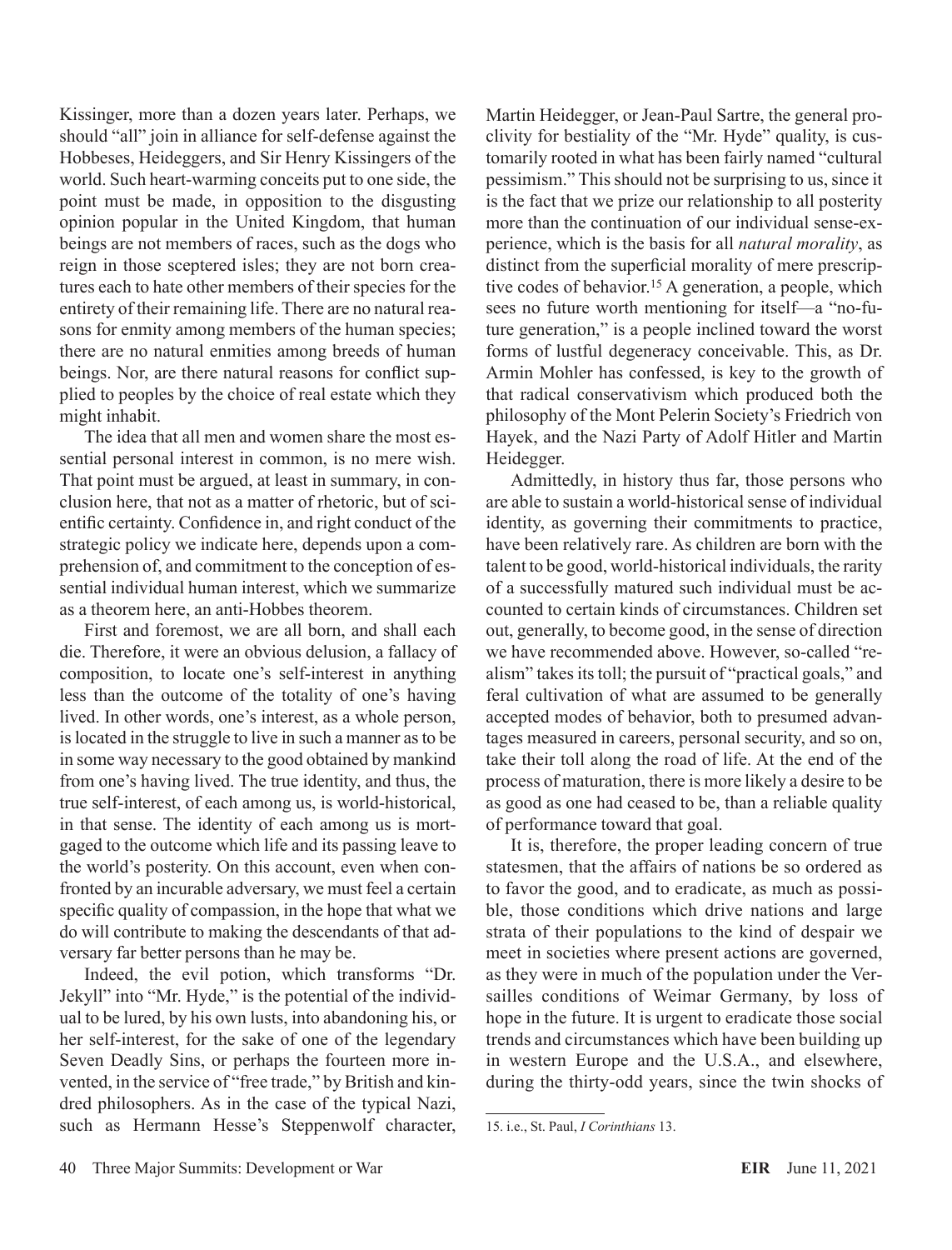Kissinger, more than a dozen years later. Perhaps, we should "all" join in alliance for self-defense against the Hobbeses, Heideggers, and Sir Henry Kissingers of the world. Such heart-warming conceits put to one side, the point must be made, in opposition to the disgusting opinion popular in the United Kingdom, that human beings are not members of races, such as the dogs who reign in those sceptered isles; they are not born creatures each to hate other members of their species for the entirety of their remaining life. There are no natural reasons for enmity among members of the human species; there are no natural enmities among breeds of human beings. Nor, are there natural reasons for conflict supplied to peoples by the choice of real estate which they might inhabit.

The idea that all men and women share the most essential personal interest in common, is no mere wish. That point must be argued, at least in summary, in conclusion here, that not as a matter of rhetoric, but of scientific certainty. Confidence in, and right conduct of the strategic policy we indicate here, depends upon a comprehension of, and commitment to the conception of essential individual human interest, which we summarize as a theorem here, an anti-Hobbes theorem.

First and foremost, we are all born, and shall each die. Therefore, it were an obvious delusion, a fallacy of composition, to locate one's self-interest in anything less than the outcome of the totality of one's having lived. In other words, one's interest, as a whole person, is located in the struggle to live in such a manner as to be in some way necessary to the good obtained by mankind from one's having lived. The true identity, and thus, the true self-interest, of each among us, is world-historical, in that sense. The identity of each among us is mortgaged to the outcome which life and its passing leave to the world's posterity. On this account, even when confronted by an incurable adversary, we must feel a certain specific quality of compassion, in the hope that what we do will contribute to making the descendants of that adversary far better persons than he may be.

Indeed, the evil potion, which transforms "Dr. Jekyll" into "Mr. Hyde," is the potential of the individual to be lured, by his own lusts, into abandoning his, or her self-interest, for the sake of one of the legendary Seven Deadly Sins, or perhaps the fourteen more invented, in the service of "free trade," by British and kindred philosophers. As in the case of the typical Nazi, such as Hermann Hesse's Steppenwolf character, Martin Heidegger, or Jean-Paul Sartre, the general proclivity for bestiality of the "Mr. Hyde" quality, is customarily rooted in what has been fairly named "cultural pessimism." This should not be surprising to us, since it is the fact that we prize our relationship to all posterity more than the continuation of our individual sense-experience, which is the basis for all *natural morality*, as distinct from the superficial morality of mere prescriptive codes of behavior.15 A generation, a people, which sees no future worth mentioning for itself—a "no-future generation," is a people inclined toward the worst forms of lustful degeneracy conceivable. This, as Dr. Armin Mohler has confessed, is key to the growth of that radical conservativism which produced both the philosophy of the Mont Pelerin Society's Friedrich von Hayek, and the Nazi Party of Adolf Hitler and Martin Heidegger.

Admittedly, in history thus far, those persons who are able to sustain a world-historical sense of individual identity, as governing their commitments to practice, have been relatively rare. As children are born with the talent to be good, world-historical individuals, the rarity of a successfully matured such individual must be accounted to certain kinds of circumstances. Children set out, generally, to become good, in the sense of direction we have recommended above. However, so-called "realism" takes its toll; the pursuit of "practical goals," and feral cultivation of what are assumed to be generally accepted modes of behavior, both to presumed advantages measured in careers, personal security, and so on, take their toll along the road of life. At the end of the process of maturation, there is more likely a desire to be as good as one had ceased to be, than a reliable quality of performance toward that goal.

It is, therefore, the proper leading concern of true statesmen, that the affairs of nations be so ordered as to favor the good, and to eradicate, as much as possible, those conditions which drive nations and large strata of their populations to the kind of despair we meet in societies where present actions are governed, as they were in much of the population under the Versailles conditions of Weimar Germany, by loss of hope in the future. It is urgent to eradicate those social trends and circumstances which have been building up in western Europe and the U.S.A., and elsewhere, during the thirty-odd years, since the twin shocks of

<sup>15.</sup> i.e., St. Paul, *I Corinthians* 13.